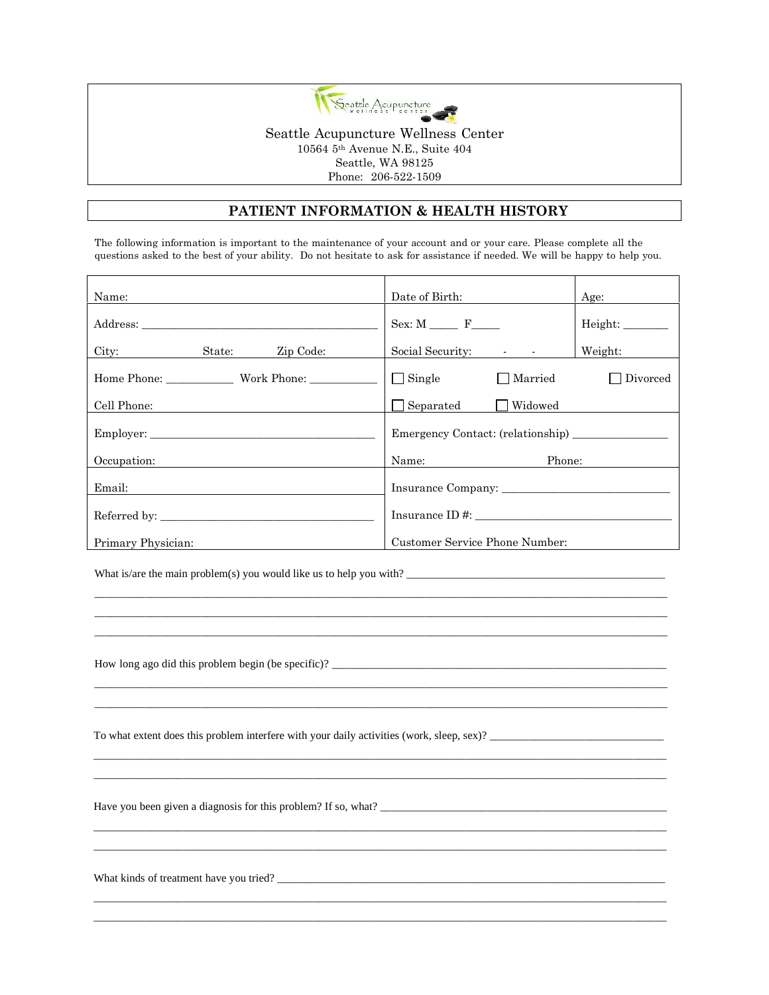

#### **PATIENT INFORMATION & HEALTH HISTORY**

The following information is important to the maintenance of your account and or your care. Please complete all the questions asked to the best of your ability. Do not hesitate to ask for assistance if needed. We will be happy to help you.

| Name:                     | Date of Birth:                             | Age:     |
|---------------------------|--------------------------------------------|----------|
|                           | $Sex: M \_ F \_$                           | Height:  |
| City:<br>State: Zip Code: | Social Security: Fig. 4.1 Social Security: | Weight:  |
|                           | $\Box$ Single<br>$\Box$ Married            | Divorced |
| Cell Phone:               | $\Box$ Widowed<br>$\Box$ Separated         |          |
|                           | Emergency Contact: (relationship)          |          |
| Occupation:               | Phone:<br>Name:                            |          |
| Email:                    |                                            |          |
|                           | $Insurance ID \#$                          |          |
| Primary Physician:        | Customer Service Phone Number:             |          |

\_\_\_\_\_\_\_\_\_\_\_\_\_\_\_\_\_\_\_\_\_\_\_\_\_\_\_\_\_\_\_\_\_\_\_\_\_\_\_\_\_\_\_\_\_\_\_\_\_\_\_\_\_\_\_\_\_\_\_\_\_\_\_\_\_\_\_\_\_\_\_\_\_\_\_\_\_\_\_\_\_\_\_\_\_\_\_\_\_\_\_\_\_\_\_\_\_\_\_\_\_\_ \_\_\_\_\_\_\_\_\_\_\_\_\_\_\_\_\_\_\_\_\_\_\_\_\_\_\_\_\_\_\_\_\_\_\_\_\_\_\_\_\_\_\_\_\_\_\_\_\_\_\_\_\_\_\_\_\_\_\_\_\_\_\_\_\_\_\_\_\_\_\_\_\_\_\_\_\_\_\_\_\_\_\_\_\_\_\_\_\_\_\_\_\_\_\_\_\_\_\_\_\_\_ \_\_\_\_\_\_\_\_\_\_\_\_\_\_\_\_\_\_\_\_\_\_\_\_\_\_\_\_\_\_\_\_\_\_\_\_\_\_\_\_\_\_\_\_\_\_\_\_\_\_\_\_\_\_\_\_\_\_\_\_\_\_\_\_\_\_\_\_\_\_\_\_\_\_\_\_\_\_\_\_\_\_\_\_\_\_\_\_\_\_\_\_\_\_\_\_\_\_\_\_\_\_

\_\_\_\_\_\_\_\_\_\_\_\_\_\_\_\_\_\_\_\_\_\_\_\_\_\_\_\_\_\_\_\_\_\_\_\_\_\_\_\_\_\_\_\_\_\_\_\_\_\_\_\_\_\_\_\_\_\_\_\_\_\_\_\_\_\_\_\_\_\_\_\_\_\_\_\_\_\_\_\_\_\_\_\_\_\_\_\_\_\_\_\_\_\_\_\_\_\_\_\_\_\_ \_\_\_\_\_\_\_\_\_\_\_\_\_\_\_\_\_\_\_\_\_\_\_\_\_\_\_\_\_\_\_\_\_\_\_\_\_\_\_\_\_\_\_\_\_\_\_\_\_\_\_\_\_\_\_\_\_\_\_\_\_\_\_\_\_\_\_\_\_\_\_\_\_\_\_\_\_\_\_\_\_\_\_\_\_\_\_\_\_\_\_\_\_\_\_\_\_\_\_\_\_\_

\_\_\_\_\_\_\_\_\_\_\_\_\_\_\_\_\_\_\_\_\_\_\_\_\_\_\_\_\_\_\_\_\_\_\_\_\_\_\_\_\_\_\_\_\_\_\_\_\_\_\_\_\_\_\_\_\_\_\_\_\_\_\_\_\_\_\_\_\_\_\_\_\_\_\_\_\_\_\_\_\_\_\_\_\_\_\_\_\_\_\_\_\_\_\_\_\_\_\_\_\_\_ \_\_\_\_\_\_\_\_\_\_\_\_\_\_\_\_\_\_\_\_\_\_\_\_\_\_\_\_\_\_\_\_\_\_\_\_\_\_\_\_\_\_\_\_\_\_\_\_\_\_\_\_\_\_\_\_\_\_\_\_\_\_\_\_\_\_\_\_\_\_\_\_\_\_\_\_\_\_\_\_\_\_\_\_\_\_\_\_\_\_\_\_\_\_\_\_\_\_\_\_\_\_

\_\_\_\_\_\_\_\_\_\_\_\_\_\_\_\_\_\_\_\_\_\_\_\_\_\_\_\_\_\_\_\_\_\_\_\_\_\_\_\_\_\_\_\_\_\_\_\_\_\_\_\_\_\_\_\_\_\_\_\_\_\_\_\_\_\_\_\_\_\_\_\_\_\_\_\_\_\_\_\_\_\_\_\_\_\_\_\_\_\_\_\_\_\_\_\_\_\_\_\_\_\_ \_\_\_\_\_\_\_\_\_\_\_\_\_\_\_\_\_\_\_\_\_\_\_\_\_\_\_\_\_\_\_\_\_\_\_\_\_\_\_\_\_\_\_\_\_\_\_\_\_\_\_\_\_\_\_\_\_\_\_\_\_\_\_\_\_\_\_\_\_\_\_\_\_\_\_\_\_\_\_\_\_\_\_\_\_\_\_\_\_\_\_\_\_\_\_\_\_\_\_\_\_\_

\_\_\_\_\_\_\_\_\_\_\_\_\_\_\_\_\_\_\_\_\_\_\_\_\_\_\_\_\_\_\_\_\_\_\_\_\_\_\_\_\_\_\_\_\_\_\_\_\_\_\_\_\_\_\_\_\_\_\_\_\_\_\_\_\_\_\_\_\_\_\_\_\_\_\_\_\_\_\_\_\_\_\_\_\_\_\_\_\_\_\_\_\_\_\_\_\_\_\_\_\_\_

\_\_\_\_\_\_\_\_\_\_\_\_\_\_\_\_\_\_\_\_\_\_\_\_\_\_\_\_\_\_\_\_\_\_\_\_\_\_\_\_\_\_\_\_\_\_\_\_\_\_\_\_\_\_\_\_\_\_\_\_\_\_\_\_\_\_\_\_\_\_\_\_\_\_\_\_\_\_\_\_\_\_\_\_\_\_\_\_\_\_\_\_\_\_\_\_\_\_\_\_\_\_

What is/are the main problem(s) you would like us to help you with?  $\frac{1}{2}$ 

How long ago did this problem begin (be specific)? \_\_\_\_\_\_\_\_\_\_\_\_\_\_\_\_\_\_\_\_\_\_\_\_\_\_\_\_\_\_\_\_\_\_\_\_\_\_\_\_\_\_\_\_\_\_\_\_\_\_\_\_\_\_\_\_\_\_\_

To what extent does this problem interfere with your daily activities (work, sleep, sex)? \_\_\_\_\_\_\_\_\_\_\_\_\_\_\_\_\_\_\_\_\_\_\_\_\_\_\_\_\_\_\_

Have you been given a diagnosis for this problem? If so, what?

What kinds of treatment have you tried? \_\_\_\_\_\_\_\_\_\_\_\_\_\_\_\_\_\_\_\_\_\_\_\_\_\_\_\_\_\_\_\_\_\_\_\_\_\_\_\_\_\_\_\_\_\_\_\_\_\_\_\_\_\_\_\_\_\_\_\_\_\_\_\_\_\_\_\_\_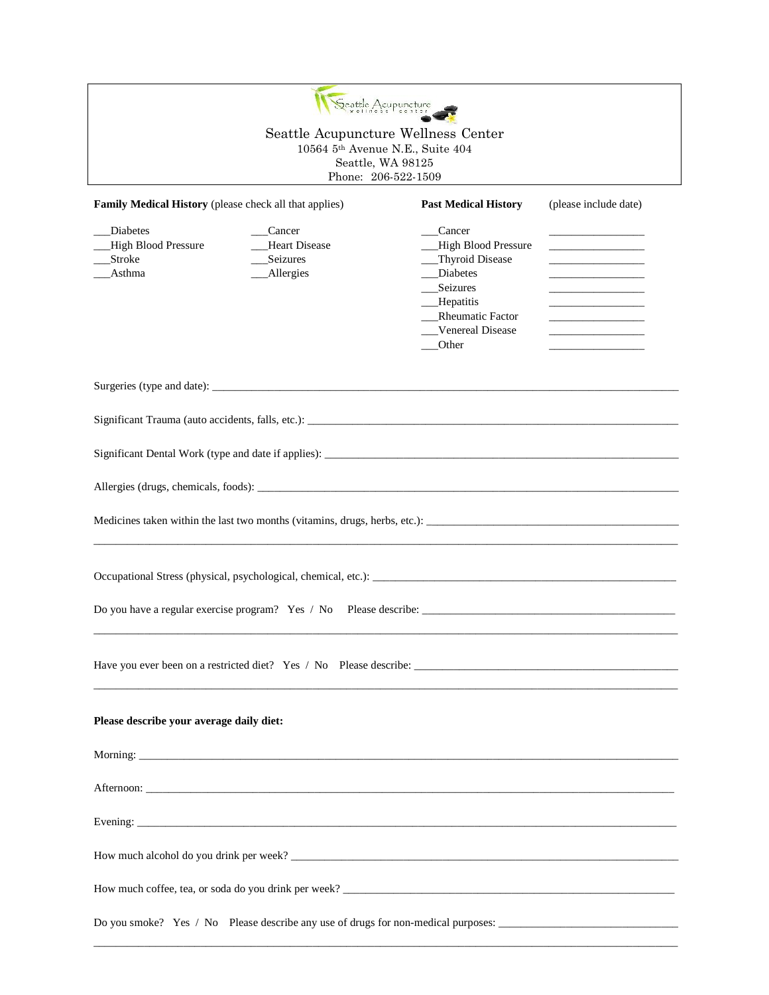| Family Medical History (please check all that applies)  |                                                           | <b>Past Medical History</b>                                                                                                                     | (please include date)                                                                                                                                                                                                                                                                         |  |
|---------------------------------------------------------|-----------------------------------------------------------|-------------------------------------------------------------------------------------------------------------------------------------------------|-----------------------------------------------------------------------------------------------------------------------------------------------------------------------------------------------------------------------------------------------------------------------------------------------|--|
| Diabetes<br>__High Blood Pressure<br>_Stroke<br>_Asthma | Cancer<br><b>Heart Disease</b><br>Seizures<br>__Allergies | Cancer<br>High Blood Pressure<br>Thyroid Disease<br>Diabetes<br>Seizures<br>$\_\_\$ Hepatitis<br>_Rheumatic Factor<br>Venereal Disease<br>Other | <u> 1989 - John Harrison, mars et al.</u><br><u> 1989 - Johann John Harry Harry Harry Harry Harry Harry Harry Harry Harry Harry Harry Harry Harry Harry Harry H</u><br><u> 1989 - Johann John Harry Harry Harry Harry Harry Harry Harry Harry Harry Harry Harry Harry Harry Harry Harry H</u> |  |
|                                                         |                                                           |                                                                                                                                                 |                                                                                                                                                                                                                                                                                               |  |
|                                                         |                                                           |                                                                                                                                                 |                                                                                                                                                                                                                                                                                               |  |
|                                                         |                                                           |                                                                                                                                                 |                                                                                                                                                                                                                                                                                               |  |
|                                                         |                                                           |                                                                                                                                                 |                                                                                                                                                                                                                                                                                               |  |
|                                                         |                                                           |                                                                                                                                                 |                                                                                                                                                                                                                                                                                               |  |
|                                                         |                                                           |                                                                                                                                                 |                                                                                                                                                                                                                                                                                               |  |
|                                                         |                                                           |                                                                                                                                                 |                                                                                                                                                                                                                                                                                               |  |
| Please describe your average daily diet:                |                                                           |                                                                                                                                                 |                                                                                                                                                                                                                                                                                               |  |
| Morning:                                                |                                                           |                                                                                                                                                 |                                                                                                                                                                                                                                                                                               |  |
|                                                         |                                                           |                                                                                                                                                 |                                                                                                                                                                                                                                                                                               |  |
|                                                         |                                                           |                                                                                                                                                 |                                                                                                                                                                                                                                                                                               |  |
|                                                         |                                                           |                                                                                                                                                 |                                                                                                                                                                                                                                                                                               |  |
|                                                         |                                                           |                                                                                                                                                 |                                                                                                                                                                                                                                                                                               |  |
|                                                         |                                                           | Do you smoke? Yes / No Please describe any use of drugs for non-medical purposes:                                                               |                                                                                                                                                                                                                                                                                               |  |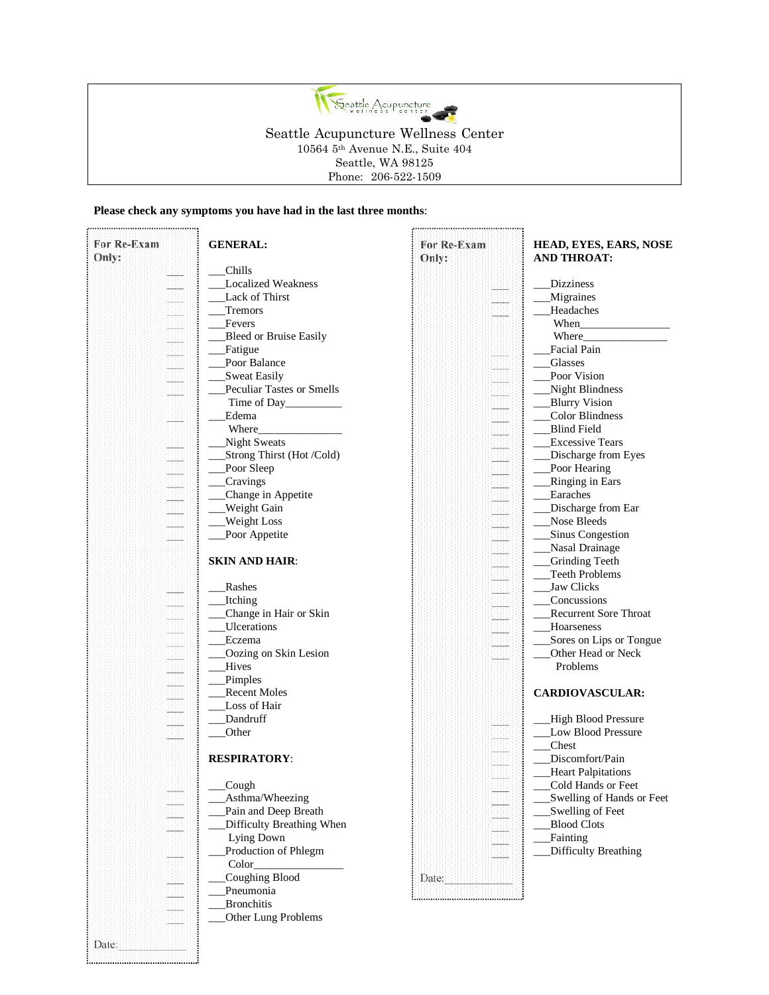

#### **Please check any symptoms you have had in the last three months**:

................

| For Re-Exam<br>Only: | <b>GENERAL:</b>                    | For Re-Exam<br>Only: | HEAD, EYES, EARS, NOSE<br><b>AND THROAT:</b>    |
|----------------------|------------------------------------|----------------------|-------------------------------------------------|
|                      | Chills                             |                      |                                                 |
|                      | <b>Localized Weakness</b>          |                      | <b>Dizziness</b>                                |
|                      | Lack of Thirst                     |                      | <b>Migraines</b>                                |
|                      | <b>Tremors</b>                     |                      | <b>Headaches</b>                                |
| H                    | Fevers                             |                      | When                                            |
| Ħ                    | Bleed or Bruise Easily             |                      | Where_                                          |
|                      | Fatigue                            |                      | Facial Pain                                     |
|                      | Poor Balance                       |                      | <b>Glasses</b>                                  |
|                      | <b>Sweat Easily</b>                |                      | Poor Vision                                     |
| <u>na</u>            | Peculiar Tastes or Smells          |                      | Night Blindness                                 |
|                      | Time of Day                        |                      | <b>Blurry Vision</b>                            |
|                      | Edema                              |                      | Color Blindness                                 |
|                      | Where                              |                      | <b>Blind Field</b>                              |
|                      | Night Sweats                       |                      | <b>Excessive Tears</b>                          |
|                      | Strong Thirst (Hot /Cold)          |                      | Discharge from Eyes                             |
|                      | Poor Sleep                         |                      | Poor Hearing                                    |
|                      | Cravings                           |                      | Ringing in Ears                                 |
|                      | Change in Appetite                 |                      | Earaches                                        |
|                      | <b>Weight Gain</b>                 |                      | Discharge from Ear                              |
| Ħ                    | Weight Loss                        |                      | Nose Bleeds                                     |
|                      | Poor Appetite                      |                      | Sinus Congestion                                |
|                      |                                    |                      | Nasal Drainage                                  |
|                      | <b>SKIN AND HAIR:</b>              |                      | <b>Grinding Teeth</b>                           |
|                      |                                    |                      | Teeth Problems                                  |
|                      | Rashes                             |                      | Jaw Clicks                                      |
|                      | <b>Itching</b>                     |                      | Concussions                                     |
|                      | Change in Hair or Skin             |                      | <b>Recurrent Sore Throat</b>                    |
|                      | Ulcerations                        |                      | Hoarseness                                      |
|                      | Eczema                             |                      | Sores on Lips or Tongue                         |
|                      | Oozing on Skin Lesion              |                      | Other Head or Neck                              |
| <u>ul</u>            | Hives                              |                      | Problems                                        |
|                      | Pimples                            |                      |                                                 |
|                      | <b>Recent Moles</b>                |                      |                                                 |
|                      | Loss of Hair                       |                      | <b>CARDIOVASCULAR:</b>                          |
|                      | Dandruff                           |                      | High Blood Pressure                             |
|                      | Other                              |                      | Low Blood Pressure                              |
|                      |                                    |                      | Chest                                           |
|                      | <b>RESPIRATORY:</b>                |                      | Discomfort/Pain                                 |
|                      |                                    |                      |                                                 |
|                      | Cough                              |                      | <b>Heart Palpitations</b><br>Cold Hands or Feet |
|                      | Asthma/Wheezing                    |                      |                                                 |
|                      | Pain and Deep Breath               |                      | Swelling of Hands or Feet<br>Swelling of Feet   |
|                      | Difficulty Breathing When          |                      | <b>Blood Clots</b>                              |
|                      |                                    |                      |                                                 |
|                      | Lying Down<br>Production of Phlegm |                      | Fainting<br>Difficulty Breathing                |
|                      | Color_                             |                      |                                                 |
|                      | Coughing Blood                     |                      |                                                 |
|                      | Pneumonia                          | Date:                |                                                 |
|                      |                                    |                      |                                                 |
|                      | <b>Bronchitis</b>                  |                      |                                                 |
|                      | Other Lung Problems                |                      |                                                 |
| Date:                |                                    |                      |                                                 |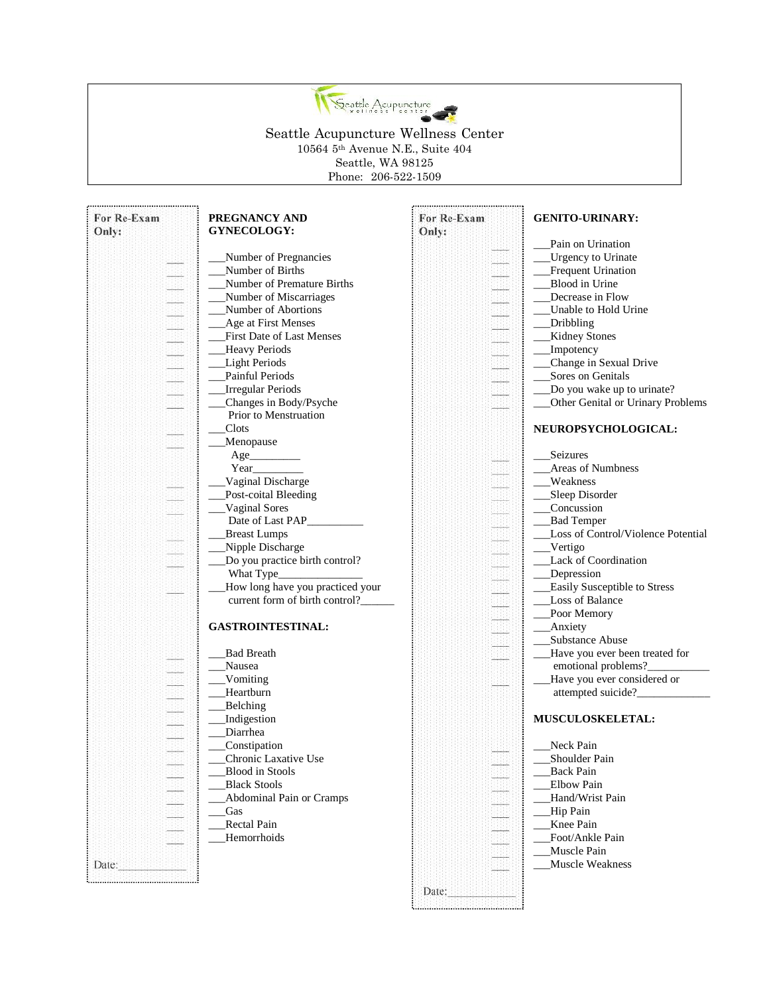

| For Re-Exam<br>Only: | PREGNANCY AND<br>GYNECOLOGY:     | For Re-Exam<br>Only: | <b>GENITO-URINARY:</b>             |
|----------------------|----------------------------------|----------------------|------------------------------------|
|                      |                                  |                      | Pain on Urination                  |
|                      | Number of Pregnancies            |                      | <b>Urgency to Urinate</b>          |
|                      | Number of Births                 |                      | Frequent Urination                 |
|                      | Number of Premature Births       |                      | Blood in Urine                     |
|                      | Number of Miscarriages           |                      | Decrease in Flow                   |
|                      | Number of Abortions              |                      | Unable to Hold Urine               |
|                      |                                  |                      |                                    |
|                      | Age at First Menses              |                      | _Dribbling                         |
|                      | First Date of Last Menses        |                      | <b>Kidney Stones</b>               |
|                      | Heavy Periods                    |                      | Impotency                          |
|                      | Light Periods                    |                      | Change in Sexual Drive             |
|                      | Painful Periods                  |                      | Sores on Genitals                  |
|                      | <b>Irregular Periods</b>         |                      | Do you wake up to urinate?         |
|                      | Changes in Body/Psyche           |                      | Other Genital or Urinary Problems  |
|                      | Prior to Menstruation            |                      |                                    |
|                      | Clots                            |                      | NEUROPSYCHOLOGICAL:                |
|                      | Menopause                        |                      |                                    |
|                      | Age_                             |                      | Seizures                           |
|                      |                                  |                      | <b>Areas of Numbness</b>           |
|                      | Vaginal Discharge                |                      | Weakness                           |
|                      | Post-coital Bleeding             |                      | Sleep Disorder                     |
|                      | Vaginal Sores                    |                      | Concussion                         |
|                      | Date of Last PAP____________     |                      | <b>Bad Temper</b>                  |
|                      | <b>Breast Lumps</b>              |                      | Loss of Control/Violence Potential |
|                      | Nipple Discharge                 |                      | __Vertigo                          |
|                      | Do you practice birth control?   |                      | Lack of Coordination               |
|                      |                                  |                      | _Depression                        |
|                      | How long have you practiced your |                      | Easily Susceptible to Stress       |
|                      | current form of birth control?   |                      | Loss of Balance                    |
|                      |                                  |                      | Poor Memory                        |
|                      | <b>GASTROINTESTINAL:</b>         |                      | _Anxiety                           |
|                      |                                  |                      | Substance Abuse                    |
|                      | <b>Bad Breath</b>                |                      |                                    |
|                      |                                  |                      | Have you ever been treated for     |
|                      | Nausea                           |                      | emotional problems?                |
|                      | Vomiting                         |                      | Have you ever considered or        |
|                      | Heartburn                        |                      | attempted suicide?_                |
|                      | Belching                         |                      |                                    |
|                      | Indigestion                      |                      | MUSCULOSKELETAL:                   |
|                      | Diarrhea                         |                      |                                    |
|                      | Constipation                     |                      | Neck Pain                          |
|                      | Chronic Laxative Use             |                      | Shoulder Pain                      |
|                      | Blood in Stools                  |                      | <b>Back Pain</b>                   |
|                      | <b>Black Stools</b>              |                      | <b>Elbow Pain</b>                  |
|                      | Abdominal Pain or Cramps         |                      | Hand/Wrist Pain                    |
|                      | Gas                              |                      | Hip Pain                           |
|                      | <b>Rectal Pain</b>               |                      | Knee Pain                          |
|                      | Hemorrhoids                      |                      | Foot/Ankle Pain                    |
|                      |                                  |                      | Muscle Pain                        |
| Date:                |                                  |                      | Muscle Weakness                    |
|                      |                                  |                      |                                    |
|                      |                                  | Date:                |                                    |
|                      |                                  |                      |                                    |
|                      |                                  |                      |                                    |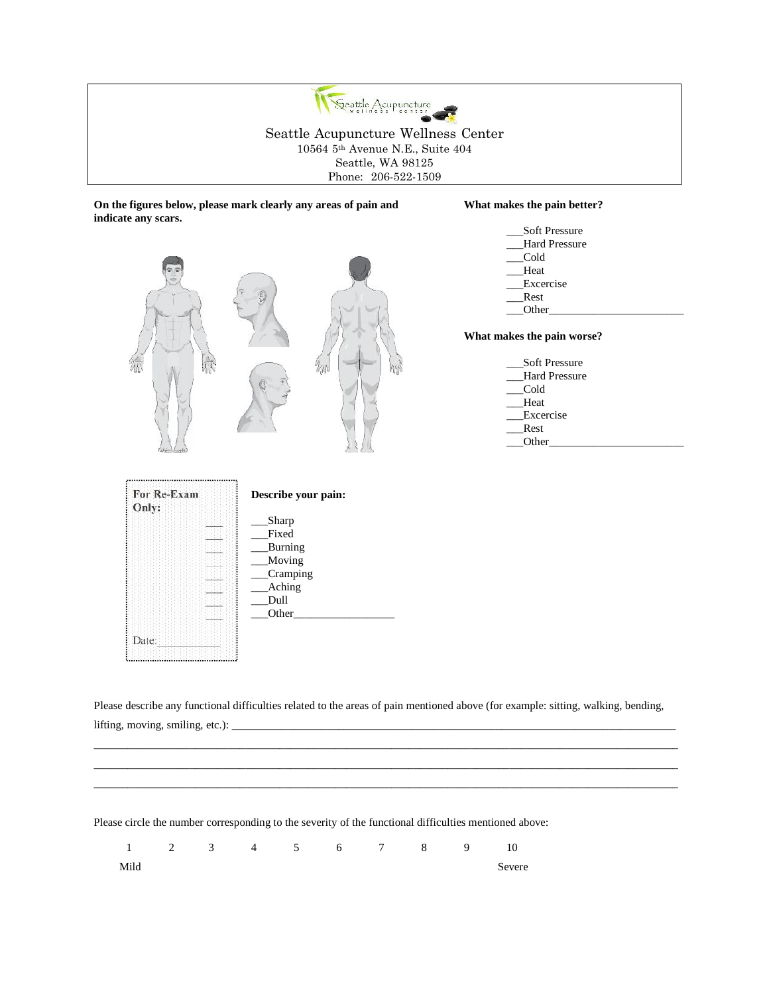

**On the figures below, please mark clearly any areas of pain and What makes the pain better? indicate any scars.**



Please describe any functional difficulties related to the areas of pain mentioned above (for example: sitting, walking, bending, lifting, moving, smiling, etc.): \_

\_\_\_\_\_\_\_\_\_\_\_\_\_\_\_\_\_\_\_\_\_\_\_\_\_\_\_\_\_\_\_\_\_\_\_\_\_\_\_\_\_\_\_\_\_\_\_\_\_\_\_\_\_\_\_\_\_\_\_\_\_\_\_\_\_\_\_\_\_\_\_\_\_\_\_\_\_\_\_\_\_\_\_\_\_\_\_\_\_\_\_\_\_\_\_\_\_\_\_\_\_\_\_\_ \_\_\_\_\_\_\_\_\_\_\_\_\_\_\_\_\_\_\_\_\_\_\_\_\_\_\_\_\_\_\_\_\_\_\_\_\_\_\_\_\_\_\_\_\_\_\_\_\_\_\_\_\_\_\_\_\_\_\_\_\_\_\_\_\_\_\_\_\_\_\_\_\_\_\_\_\_\_\_\_\_\_\_\_\_\_\_\_\_\_\_\_\_\_\_\_\_\_\_\_\_\_\_\_ \_\_\_\_\_\_\_\_\_\_\_\_\_\_\_\_\_\_\_\_\_\_\_\_\_\_\_\_\_\_\_\_\_\_\_\_\_\_\_\_\_\_\_\_\_\_\_\_\_\_\_\_\_\_\_\_\_\_\_\_\_\_\_\_\_\_\_\_\_\_\_\_\_\_\_\_\_\_\_\_\_\_\_\_\_\_\_\_\_\_\_\_\_\_\_\_\_\_\_\_\_\_\_\_

Please circle the number corresponding to the severity of the functional difficulties mentioned above:

 $_$ Other $_$ 

Date:

 1 2 3 4 5 6 7 8 9 10 Mild Severe Severe Severe Severe Severe Severe Severe Severe Severe Severe Severe Severe Severe Severe Severe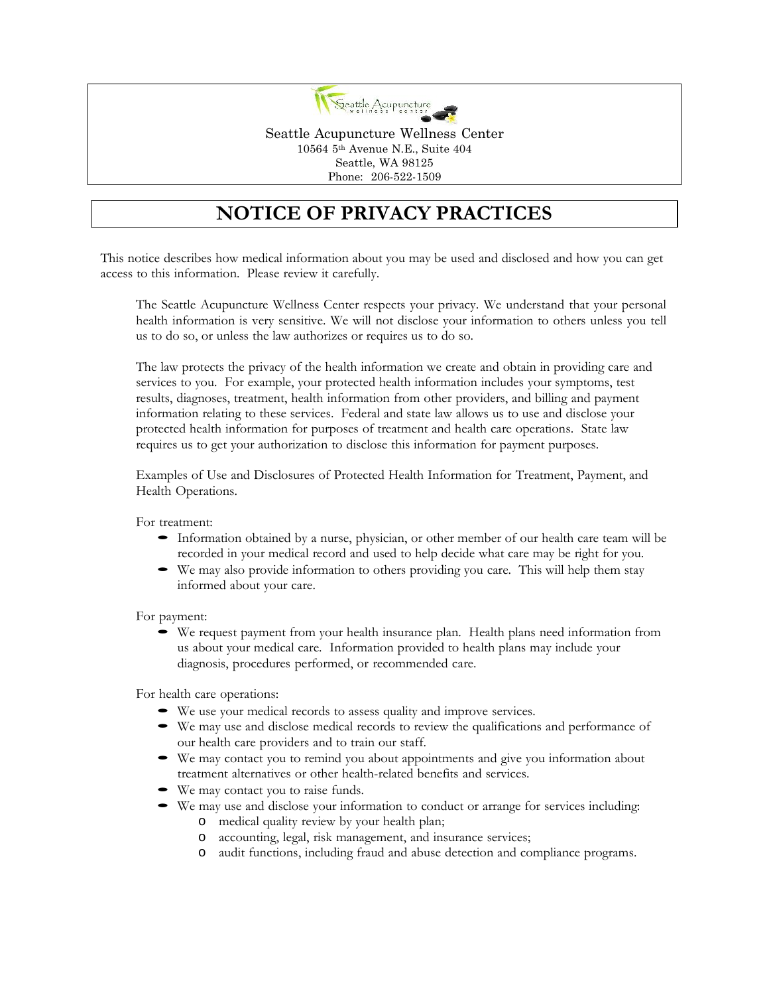

# **NOTICE OF PRIVACY PRACTICES**

This notice describes how medical information about you may be used and disclosed and how you can get access to this information. Please review it carefully.

The Seattle Acupuncture Wellness Center respects your privacy. We understand that your personal health information is very sensitive. We will not disclose your information to others unless you tell us to do so, or unless the law authorizes or requires us to do so.

The law protects the privacy of the health information we create and obtain in providing care and services to you. For example, your protected health information includes your symptoms, test results, diagnoses, treatment, health information from other providers, and billing and payment information relating to these services. Federal and state law allows us to use and disclose your protected health information for purposes of treatment and health care operations. State law requires us to get your authorization to disclose this information for payment purposes.

Examples of Use and Disclosures of Protected Health Information for Treatment, Payment, and Health Operations.

- For treatment:<br>
 Information obtained by a nurse, physician, or other member of our health care team will be recorded in your medical record and used to help decide what care may be right for you.
	- We may also provide information to others providing you care. This will help them stay informed about your care.

For payment:<br>
• We request payment from your health insurance plan. Health plans need information from us about your medical care. Information provided to health plans may include your diagnosis, procedures performed, or recommended care.

- 
- For health care operations:<br>
 We use your medical records to assess quality and improve services.<br>
 We may use and disclose medical records to review the qualifications and performance of our health care providers and to
	- $\bullet$  We may contact you to remind you about appointments and give you information about treatment alternatives or other health-related benefits and services.
	-
	- We may contact you to raise funds.<br>• We may use and disclose your information to conduct or arrange for services including:<br>• O medical quality review by your health plan;
		- o accounting, legal, risk management, and insurance services;
		- o audit functions, including fraud and abuse detection and compliance programs.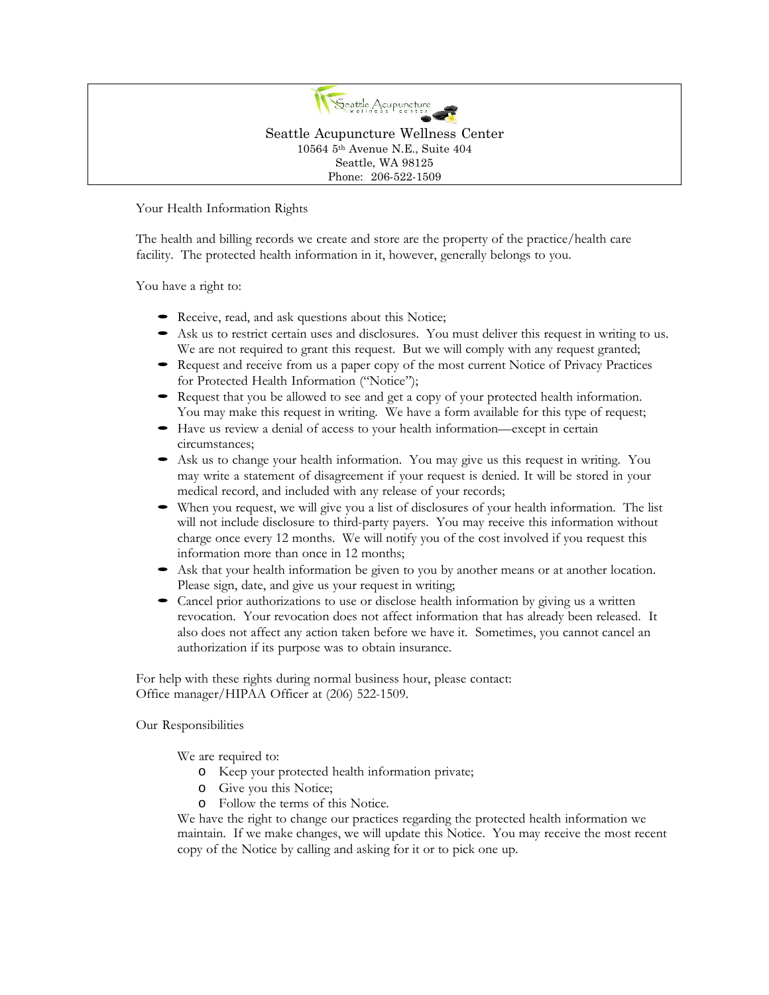

Your Health Information Rights

The health and billing records we create and store are the property of the practice/health care facility. The protected health information in it, however, generally belongs to you.

You have a right to:

- 
- Receive, read, and ask questions about this Notice;<br>
 Ask us to restrict certain uses and disclosures. You must deliver this request in writing to us.<br>
We are not required to grant this request. But we will comply with
- 
- Request that you be allowed to see and get a copy of your protected health information. You may make this request in writing. We have a form available for this type of request;
- Have us review a denial of access to your health information—except in certain circumstances:
- $\bullet$  Ask us to change your health information. You may give us this request in writing. You may write a statement of disagreement if your request is denied. It will be stored in your
- medical record, and included with any release of your records;<br>
When you request, we will give you a list of disclosures of your health information. The list<br>
will not include disclosure to third-party payers. You may rece charge once every 12 months. We will notify you of the cost involved if you request this
- information more than once in 12 months;<br>
Solution Solution Solution Solution Solution Solution Shakes is a state, and give us your request in writing;<br>
Cancel prior authorizations to use or disclose health information by
- revocation. Your revocation does not affect information that has already been released. It also does not affect any action taken before we have it. Sometimes, you cannot cancel an authorization if its purpose was to obtain insurance.

For help with these rights during normal business hour, please contact: Office manager/HIPAA Officer at (206) 522-1509.

Our Responsibilities

We are required to:

- o Keep your protected health information private;
- o Give you this Notice;
- o Follow the terms of this Notice.

We have the right to change our practices regarding the protected health information we maintain. If we make changes, we will update this Notice. You may receive the most recent copy of the Notice by calling and asking for it or to pick one up.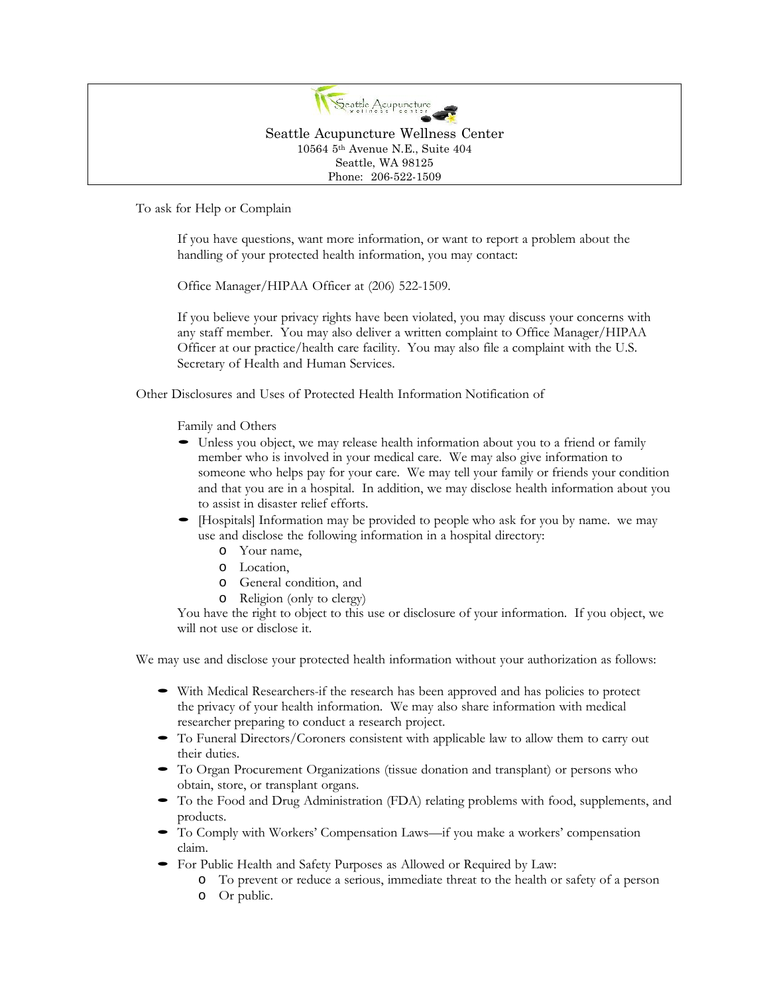

To ask for Help or Complain

If you have questions, want more information, or want to report a problem about the handling of your protected health information, you may contact:

Office Manager/HIPAA Officer at (206) 522-1509.

If you believe your privacy rights have been violated, you may discuss your concerns with any staff member. You may also deliver a written complaint to Office Manager/HIPAA Officer at our practice/health care facility. You may also file a complaint with the U.S. Secretary of Health and Human Services.

Other Disclosures and Uses of Protected Health Information Notification of

Family and Others

- Unless you object, we may release health information about you to <sup>a</sup> friend or family member who is involved in your medical care. We may also give information to someone who helps pay for your care. We may tellyour family or friends your condition and that you are in a hospital. In addition, we may disclose health information about you
- to assist in disaster relief efforts. [Hospitals] Information may be provided to people who ask for you by name. we may use and disclose the following information in <sup>a</sup> hospital directory:
	- o Your name,
	- o Location,
	- o General condition, and
	- o Religion (only to clergy)

You have the right to object to this use or disclosure of your information. If you object, we will not use or disclose it.

We may use and disclose your protected health information without your authorization as follows:

- With Medical Researchers-if the research has been approved and has policies to protect the privacy of your health information. We may also share information with medical
- researcher preparing to conduct a research project.<br>
 To Funeral Directors/Coroners consistent with applicable law to allow them to carry out their duties.
- To Organ Procurement Organizations (tissue donation and transplant) or persons who obtain, store, or transplant organs.
- To the Food and Drug Administration (FDA) relating problems with food, supplements, and products.
- To Comply with Workers' Compensation Laws—if you make a workers' compensation claim.
	- For Public Health and Safety Purposes as Allowed or Required by Law:
		- o To prevent or reduce a serious, immediate threat to the health or safety of a person
		- o Or public.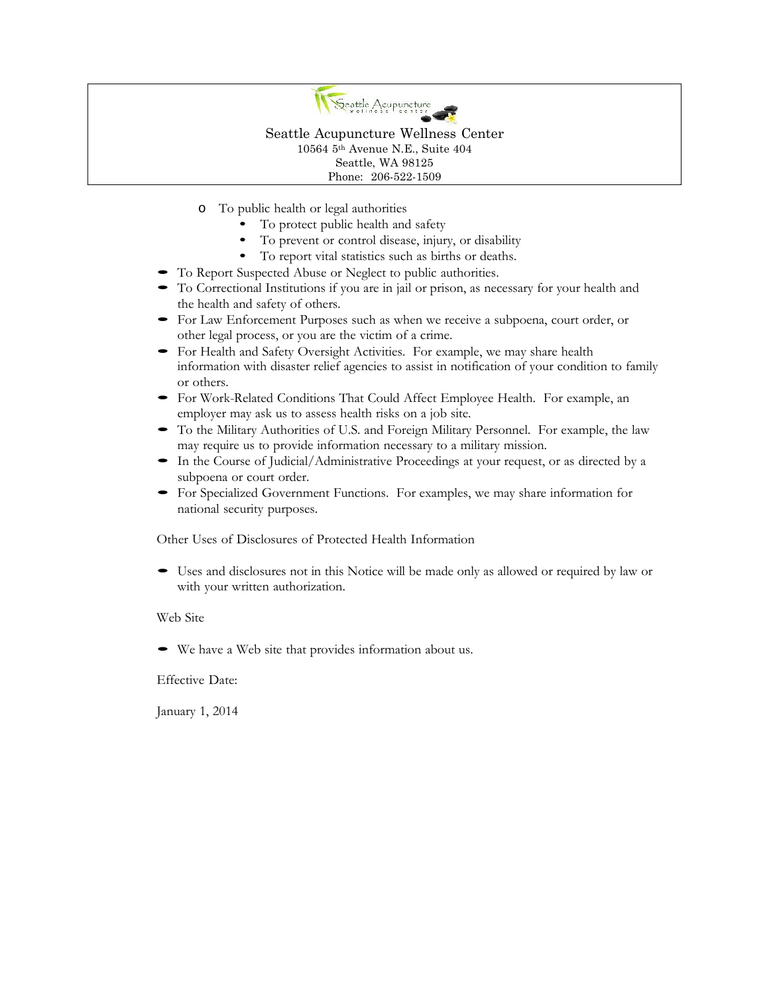

- o To public health or legal authorities
	- To protect public health and safety
	- To prevent or control disease, injury, or disability<br>• To report vital statistics such as births or deaths.
	-
- 
- To Report Suspected Abuse or Neglect to public authorities. To Correctional Institutions if you are in jail or prison, as necessary for your health and the health and safety of others.
- For Law Enforcement Purposes such as when we receive a subpoena, court order, or other legal process, or you are the victim of a crime.
- For Health and Safety Oversight Activities. For example, we may share health information with disaster relief agencies to assist in notification of your condition to family
- or others.<br>• For Work-Related Conditions That Could Affect Employee Health. For example, an employer may ask us to assess health risks on a job site.
- To the Military Authorities of U.S. and Foreign Military Personnel. For example, the law may require us to provide information necessary to a military mission.<br>• In the Course of Judicial/Administrative Proceedings at yo
- 
- For Specialized Government Functions. For examples, we may share information for national security purposes.

Other Uses of Disclosures of Protected Health Information

• Uses and disclosures not in this Notice will be made only as allowed or required by law or with your written authorization.

Web Site

• We have <sup>a</sup> Web site that provides information about us.

Effective Date:

January 1, 2014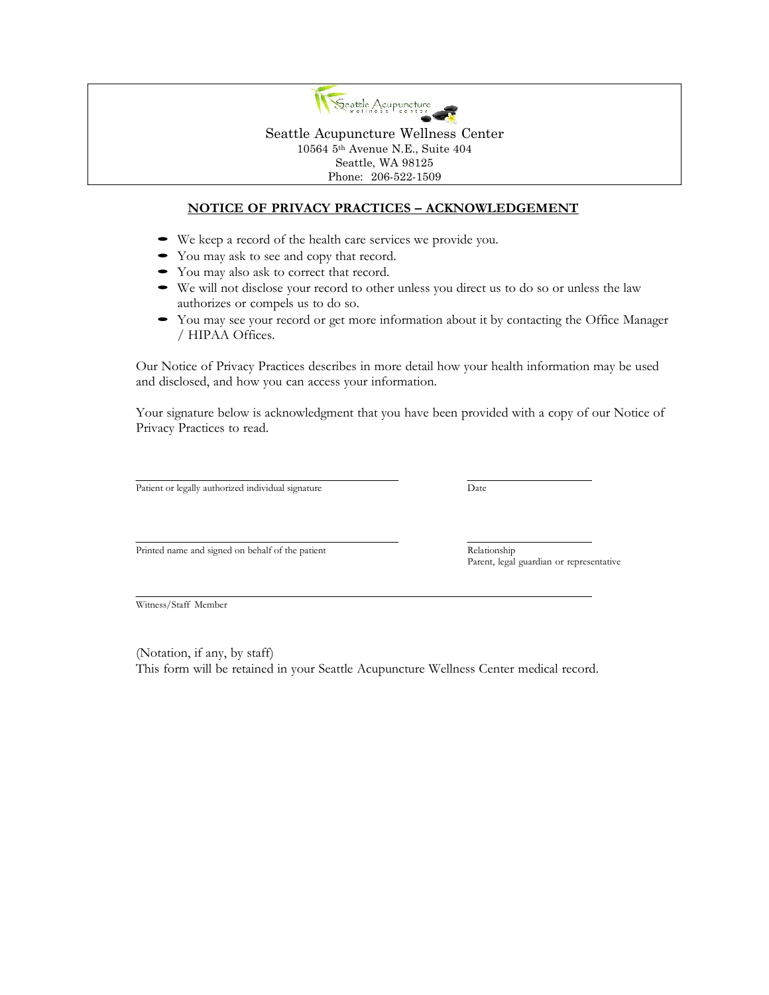

## **NOTICE OF PRIVACY PRACTICES – ACKNOWLEDGEMENT**

- 
- 
- 
- We keep a record of the health care services we provide you.<br>• You may ask to see and copy that record.<br>• You may also ask to correct that record.<br>• We will not disclose your record to other unless you direct us to do so
- You may see your record or get more information about it by contacting the Office Manager / HIPAA Offices.

Our Notice of Privacy Practices describes in more detail how your health information may be used and disclosed, and how you can access your information.

Your signature below is acknowledgment that you have been provided with a copy of our Notice of Privacy Practices to read.

Patient or legally authorized individual signature Date

Printed name and signed on behalf of the patient Relationship

Parent, legal guardian or representative

Witness/Staff Member

(Notation, if any, by staff) This form will be retained in your Seattle Acupuncture Wellness Center medical record.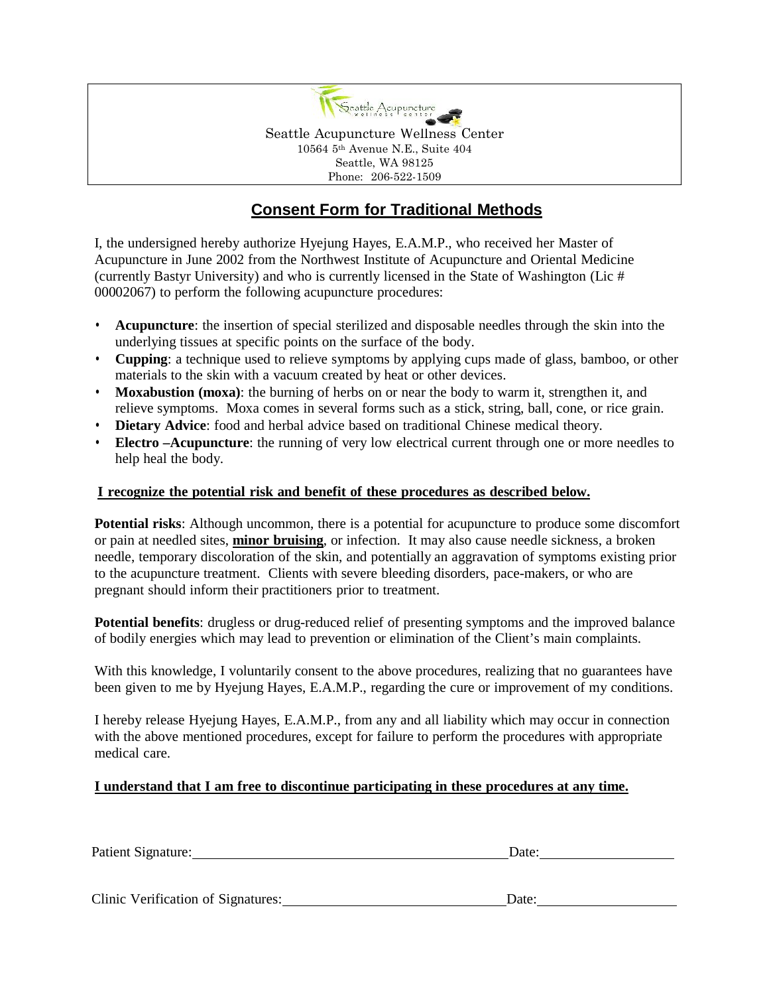

# **Consent Form for Traditional Methods**

I, the undersigned hereby authorize Hyejung Hayes, E.A.M.P., who received her Master of Acupuncture in June 2002 from the Northwest Institute of Acupuncture and Oriental Medicine (currently Bastyr University) and who is currently licensed in the State of Washington (Lic  $#$ 00002067) to perform the following acupuncture procedures:

- **Acupuncture**: the insertion of special sterilized and disposable needles through the skin into the underlying tissues at specific points on the surface of the body.
- **Cupping**: a technique used to relieve symptoms by applying cups made of glass, bamboo, or other materials to the skin with a vacuum created by heat or other devices.
- **Moxabustion (moxa)**: the burning of herbs on or near the body to warm it, strengthen it, and relieve symptoms. Moxa comes in several forms such as a stick, string, ball, cone, or rice grain.
- **Dietary Advice**: food and herbal advice based on traditional Chinese medical theory.
- **Electro –Acupuncture**: the running of very low electrical current through one or more needles to help heal the body.

## **I recognize the potential risk and benefit of these procedures as described below.**

**Potential risks**: Although uncommon, there is a potential for acupuncture to produce some discomfort or pain at needled sites, **minor bruising**, or infection. It may also cause needle sickness, a broken needle, temporary discoloration of the skin, and potentially an aggravation of symptoms existing prior to the acupuncture treatment. Clients with severe bleeding disorders, pace-makers, or who are pregnant should inform their practitioners prior to treatment.

**Potential benefits**: drugless or drug-reduced relief of presenting symptoms and the improved balance of bodily energies which may lead to prevention or elimination of the Client's main complaints.

With this knowledge, I voluntarily consent to the above procedures, realizing that no guarantees have been given to me by Hyejung Hayes, E.A.M.P., regarding the cure or improvement of my conditions.

I hereby release Hyejung Hayes, E.A.M.P., from any and all liability which may occur in connection with the above mentioned procedures, except for failure to perform the procedures with appropriate medical care.

# **I understand that I am free to discontinue participating in these procedures at any time.**

| Patient Signature:                 | Date: |  |  |
|------------------------------------|-------|--|--|
|                                    |       |  |  |
| Clinic Verification of Signatures: |       |  |  |
|                                    | Date: |  |  |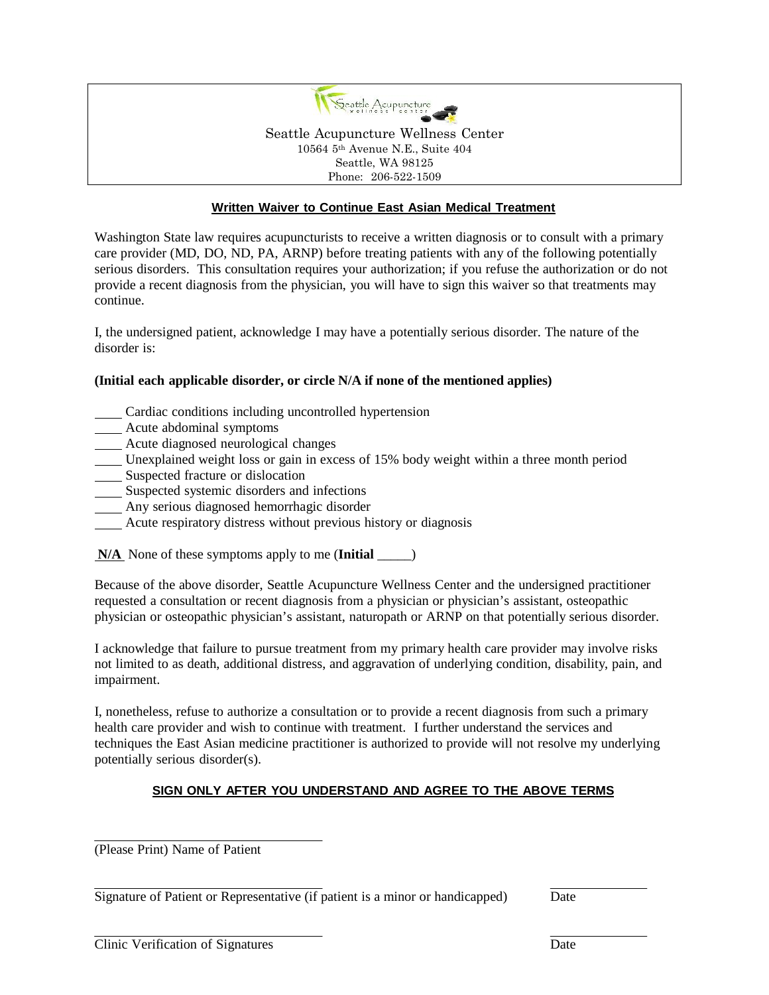

#### **Written Waiver to Continue East Asian Medical Treatment**

Washington State law requires acupuncturists to receive a written diagnosis or to consult with a primary care provider (MD, DO, ND, PA, ARNP) before treating patients with any of the following potentially serious disorders. This consultation requires your authorization; if you refuse the authorization or do not provide a recent diagnosis from the physician, you will have to sign this waiver so that treatments may continue.

I, the undersigned patient, acknowledge I may have a potentially serious disorder. The nature of the disorder is:

#### **(Initial each applicable disorder, or circle N/A if none of the mentioned applies)**

- Cardiac conditions including uncontrolled hypertension
- **Acute abdominal symptoms**
- Acute diagnosed neurological changes
- Unexplained weight loss or gain in excess of 15% body weight within a three month period
- **Suspected fracture or dislocation**
- Suspected systemic disorders and infections
- Any serious diagnosed hemorrhagic disorder
- Acute respiratory distress without previous history or diagnosis
- **N/A** None of these symptoms apply to me (**Initial** \_\_\_\_\_)

Because of the above disorder, Seattle Acupuncture Wellness Center and the undersigned practitioner requested a consultation or recent diagnosis from a physician or physician's assistant, osteopathic physician or osteopathic physician's assistant, naturopath or ARNP on that potentially serious disorder.

I acknowledge that failure to pursue treatment from my primary health care provider may involve risks not limited to as death, additional distress, and aggravation of underlying condition, disability, pain, and impairment.

I, nonetheless, refuse to authorize a consultation or to provide a recent diagnosis from such a primary health care provider and wish to continue with treatment. I further understand the services and techniques the East Asian medicine practitioner is authorized to provide will not resolve my underlying potentially serious disorder(s).

## **SIGN ONLY AFTER YOU UNDERSTAND AND AGREE TO THE ABOVE TERMS**

(Please Print) Name of Patient

|  | Signature of Patient or Representative (if patient is a minor or handicapped) | Date |
|--|-------------------------------------------------------------------------------|------|
|  |                                                                               |      |